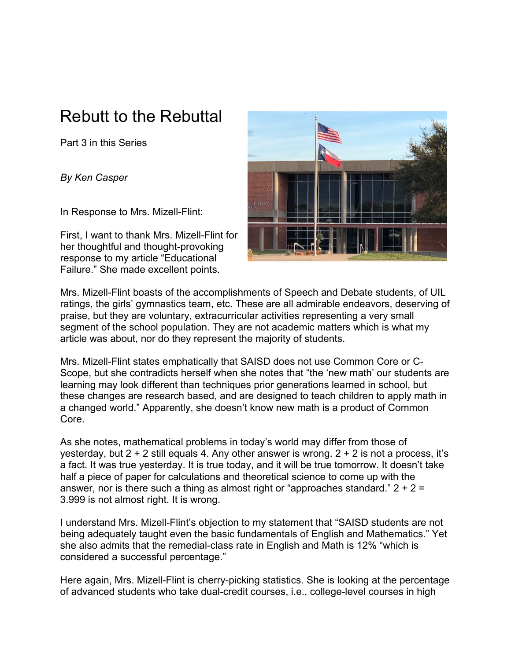## Rebutt to the Rebuttal

Part 3 in this Series

*By Ken Casper*

In Response to Mrs. Mizell-Flint:

First, I want to thank Mrs. Mizell-Flint for her thoughtful and thought-provoking response to my article "Educational Failure." She made excellent points.



Mrs. Mizell-Flint boasts of the accomplishments of Speech and Debate students, of UIL ratings, the girls' gymnastics team, etc. These are all admirable endeavors, deserving of praise, but they are voluntary, extracurricular activities representing a very small segment of the school population. They are not academic matters which is what my article was about, nor do they represent the majority of students.

Mrs. Mizell-Flint states emphatically that SAISD does not use Common Core or C-Scope, but she contradicts herself when she notes that "the 'new math' our students are learning may look different than techniques prior generations learned in school, but these changes are research based, and are designed to teach children to apply math in a changed world." Apparently, she doesn't know new math is a product of Common Core.

As she notes, mathematical problems in today's world may differ from those of yesterday, but  $2 + 2$  still equals 4. Any other answer is wrong.  $2 + 2$  is not a process, it's a fact. It was true yesterday. It is true today, and it will be true tomorrow. It doesn't take half a piece of paper for calculations and theoretical science to come up with the answer, nor is there such a thing as almost right or "approaches standard."  $2 + 2 =$ 3.999 is not almost right. It is wrong.

I understand Mrs. Mizell-Flint's objection to my statement that "SAISD students are not being adequately taught even the basic fundamentals of English and Mathematics." Yet she also admits that the remedial-class rate in English and Math is 12% "which is considered a successful percentage."

Here again, Mrs. Mizell-Flint is cherry-picking statistics. She is looking at the percentage of advanced students who take dual-credit courses, i.e., college-level courses in high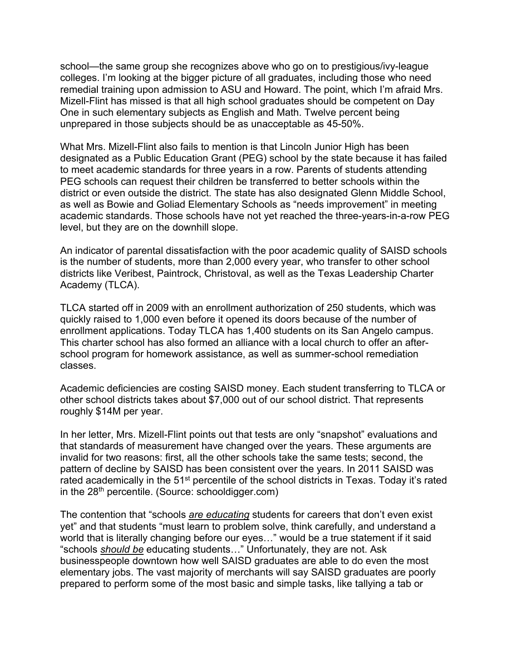school—the same group she recognizes above who go on to prestigious/ivy-league colleges. I'm looking at the bigger picture of all graduates, including those who need remedial training upon admission to ASU and Howard. The point, which I'm afraid Mrs. Mizell-Flint has missed is that all high school graduates should be competent on Day One in such elementary subjects as English and Math. Twelve percent being unprepared in those subjects should be as unacceptable as 45-50%.

What Mrs. Mizell-Flint also fails to mention is that Lincoln Junior High has been designated as a Public Education Grant (PEG) school by the state because it has failed to meet academic standards for three years in a row. Parents of students attending PEG schools can request their children be transferred to better schools within the district or even outside the district. The state has also designated Glenn Middle School, as well as Bowie and Goliad Elementary Schools as "needs improvement" in meeting academic standards. Those schools have not yet reached the three-years-in-a-row PEG level, but they are on the downhill slope.

An indicator of parental dissatisfaction with the poor academic quality of SAISD schools is the number of students, more than 2,000 every year, who transfer to other school districts like Veribest, Paintrock, Christoval, as well as the Texas Leadership Charter Academy (TLCA).

TLCA started off in 2009 with an enrollment authorization of 250 students, which was quickly raised to 1,000 even before it opened its doors because of the number of enrollment applications. Today TLCA has 1,400 students on its San Angelo campus. This charter school has also formed an alliance with a local church to offer an afterschool program for homework assistance, as well as summer-school remediation classes.

Academic deficiencies are costing SAISD money. Each student transferring to TLCA or other school districts takes about \$7,000 out of our school district. That represents roughly \$14M per year.

In her letter, Mrs. Mizell-Flint points out that tests are only "snapshot" evaluations and that standards of measurement have changed over the years. These arguments are invalid for two reasons: first, all the other schools take the same tests; second, the pattern of decline by SAISD has been consistent over the years. In 2011 SAISD was rated academically in the 51<sup>st</sup> percentile of the school districts in Texas. Today it's rated in the 28<sup>th</sup> percentile. (Source: schooldigger.com)

The contention that "schools *are educating* students for careers that don't even exist yet" and that students "must learn to problem solve, think carefully, and understand a world that is literally changing before our eyes…" would be a true statement if it said "schools *should be* educating students…" Unfortunately, they are not. Ask businesspeople downtown how well SAISD graduates are able to do even the most elementary jobs. The vast majority of merchants will say SAISD graduates are poorly prepared to perform some of the most basic and simple tasks, like tallying a tab or